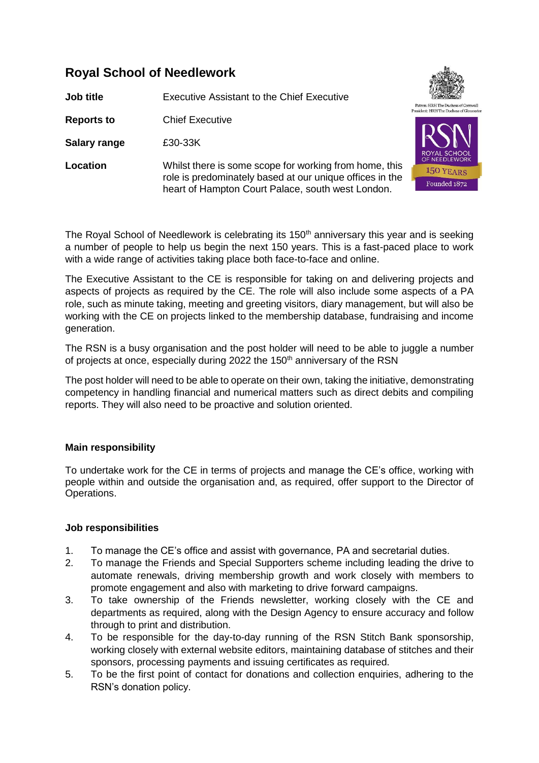## **Royal School of Needlework**

**Job title** Executive Assistant to the Chief Executive

**Reports to** Chief Executive

**Salary range** £30-33K

**Location** Whilst there is some scope for working from home, this role is predominately based at our unique offices in the heart of Hampton Court Palace, south west London.



The Royal School of Needlework is celebrating its 150<sup>th</sup> anniversary this year and is seeking a number of people to help us begin the next 150 years. This is a fast-paced place to work with a wide range of activities taking place both face-to-face and online.

The Executive Assistant to the CE is responsible for taking on and delivering projects and aspects of projects as required by the CE. The role will also include some aspects of a PA role, such as minute taking, meeting and greeting visitors, diary management, but will also be working with the CE on projects linked to the membership database, fundraising and income generation.

The RSN is a busy organisation and the post holder will need to be able to juggle a number of projects at once, especially during 2022 the 150<sup>th</sup> anniversary of the RSN

The post holder will need to be able to operate on their own, taking the initiative, demonstrating competency in handling financial and numerical matters such as direct debits and compiling reports. They will also need to be proactive and solution oriented.

## **Main responsibility**

To undertake work for the CE in terms of projects and manage the CE's office, working with people within and outside the organisation and, as required, offer support to the Director of Operations.

## **Job responsibilities**

- 1. To manage the CE's office and assist with governance, PA and secretarial duties.
- 2. To manage the Friends and Special Supporters scheme including leading the drive to automate renewals, driving membership growth and work closely with members to promote engagement and also with marketing to drive forward campaigns.
- 3. To take ownership of the Friends newsletter, working closely with the CE and departments as required, along with the Design Agency to ensure accuracy and follow through to print and distribution.
- 4. To be responsible for the day-to-day running of the RSN Stitch Bank sponsorship, working closely with external website editors, maintaining database of stitches and their sponsors, processing payments and issuing certificates as required.
- 5. To be the first point of contact for donations and collection enquiries, adhering to the RSN's donation policy.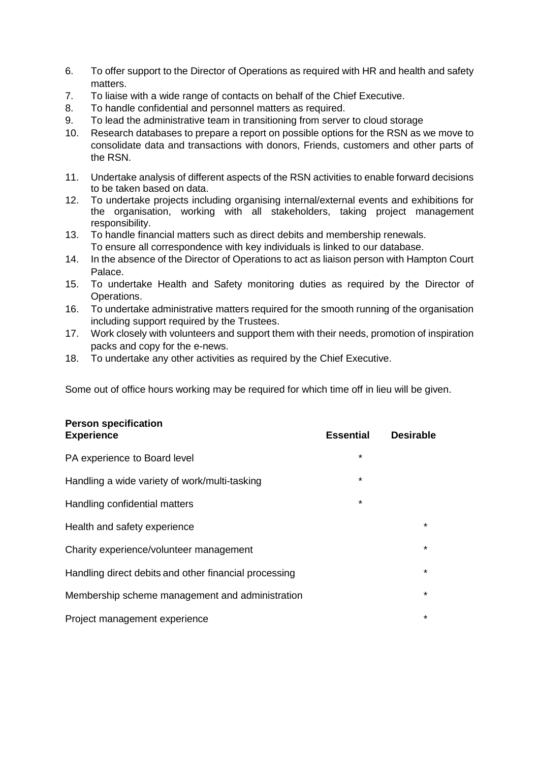- 6. To offer support to the Director of Operations as required with HR and health and safety matters.
- 7. To liaise with a wide range of contacts on behalf of the Chief Executive.
- 8. To handle confidential and personnel matters as required.
- 9. To lead the administrative team in transitioning from server to cloud storage
- 10. Research databases to prepare a report on possible options for the RSN as we move to consolidate data and transactions with donors, Friends, customers and other parts of the RSN.
- 11. Undertake analysis of different aspects of the RSN activities to enable forward decisions to be taken based on data.
- 12. To undertake projects including organising internal/external events and exhibitions for the organisation, working with all stakeholders, taking project management responsibility.
- 13. To handle financial matters such as direct debits and membership renewals. To ensure all correspondence with key individuals is linked to our database.
- 14. In the absence of the Director of Operations to act as liaison person with Hampton Court Palace.
- 15. To undertake Health and Safety monitoring duties as required by the Director of Operations.
- 16. To undertake administrative matters required for the smooth running of the organisation including support required by the Trustees.
- 17. Work closely with volunteers and support them with their needs, promotion of inspiration packs and copy for the e-news.
- 18. To undertake any other activities as required by the Chief Executive.

Some out of office hours working may be required for which time off in lieu will be given.

| <b>Person specification</b><br><b>Experience</b>      | <b>Essential</b> | <b>Desirable</b> |
|-------------------------------------------------------|------------------|------------------|
| PA experience to Board level                          | $\star$          |                  |
| Handling a wide variety of work/multi-tasking         | *                |                  |
| Handling confidential matters                         | $\star$          |                  |
| Health and safety experience                          |                  | $\star$          |
| Charity experience/volunteer management               |                  | $\star$          |
| Handling direct debits and other financial processing |                  | $\star$          |
| Membership scheme management and administration       |                  | $\star$          |
| Project management experience                         |                  | $\star$          |